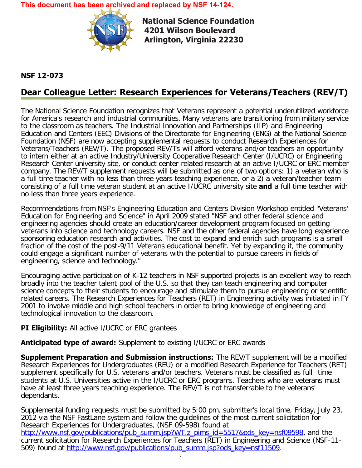**This document has been archived and replaced by [NSF 14-124](https://www.nsf.gov/publications/pub_summ.jsp?ods_key=nsf14124).**



**National Science Foundation 4201 Wilson Boulevard Arlington, Virginia 22230** 

## **NSF 12-073**

## **Dear Colleague Letter: Research Experiences for Veterans/Teachers (REV/T)**

The National Science Foundation recognizes that Veterans represent a potential underutilized workforce for America's research and industrial communities. Many veterans are transitioning from military service to the classroom as teachers. The Industrial Innovation and Partnerships (IIP) and Engineering Education and Centers (EEC) Divisions of the Directorate for Engineering (ENG) at the National Science Foundation (NSF) are now accepting supplemental requests to conduct Research Experiences for Veterans/Teachers (REV/T). The proposed REV/Ts will afford veterans and/or teachers an opportunity to intern either at an active Industry/University Cooperative Research Center (I/UCRC) or Engineering Research Center university site, or conduct center related research at an active I/UCRC or ERC member company. The REV/T supplement requests will be submitted as one of two options: 1) a veteran who is a full time teacher with no less than three years teaching experience, or a 2) a veteran/teacher team consisting of a full time veteran student at an active I/UCRC university site **and** a full time teacher with no less than three years experience.

Recommendations from NSF's Engineering Education and Centers Division Workshop entitled "Veterans' Education for Engineering and Science" in April 2009 stated "NSF and other federal science and engineering agencies should create an education/career development program focused on getting veterans into science and technology careers. NSF and the other federal agencies have long experience sponsoring education research and activities. The cost to expand and enrich such programs is a small fraction of the cost of the post-9/11 Veterans educational benefit. Yet by expanding it, the community could engage a significant number of veterans with the potential to pursue careers in fields of engineering, science and technology."

Encouraging active participation of K-12 teachers in NSF supported projects is an excellent way to reach broadly into the teacher talent pool of the U.S. so that they can teach engineering and computer science concepts to their students to encourage and stimulate them to pursue engineering or scientific related careers. The Research Experiences for Teachers (RET) in Engineering activity was initiated in FY 2001 to involve middle and high school teachers in order to bring knowledge of engineering and technological innovation to the classroom.

## **PI Eligibility:** All active I/UCRC or ERC grantees

## **Anticipated type of award:** Supplement to existing I/UCRC or ERC awards

**Supplement Preparation and Submission instructions:** The REV/T supplement will be a modified Research Experiences for Undergraduates (REU) or a modified Research Experience for Teachers (RET) supplement specifically for U.S. veterans and/or teachers. Veterans must be classified as full time students at U.S. Universities active in the I/UCRC or ERC programs. Teachers who are veterans must have at least three years teaching experience. The REV/T is not transferrable to the veterans' dependants.

Supplemental funding requests must be submitted by 5:00 pm, submitter's local time, Friday, July 23, 2012 via the NSF FastLane system and follow the guidelines of the most current solicitation for Research Experiences for Undergraduates, (NSF 09-598) found at [http://www.nsf.gov/publications/pub\\_summ.jsp?WT.z\\_pims\\_id=5517&ods\\_key=nsf09598](http://www.nsf.gov/publications/pub_summ.jsp?WT.z_pims_id=5517&ods_key=nsf09598), and the current solicitation for Research Experiences for Teachers (RET) in Engineering and Science (NSF-11 509) found at [http://www.nsf.gov/publications/pub\\_summ.jsp?ods\\_key=nsf11509.](http://www.nsf.gov/publications/pub_summ.jsp?ods_key=nsf11509)